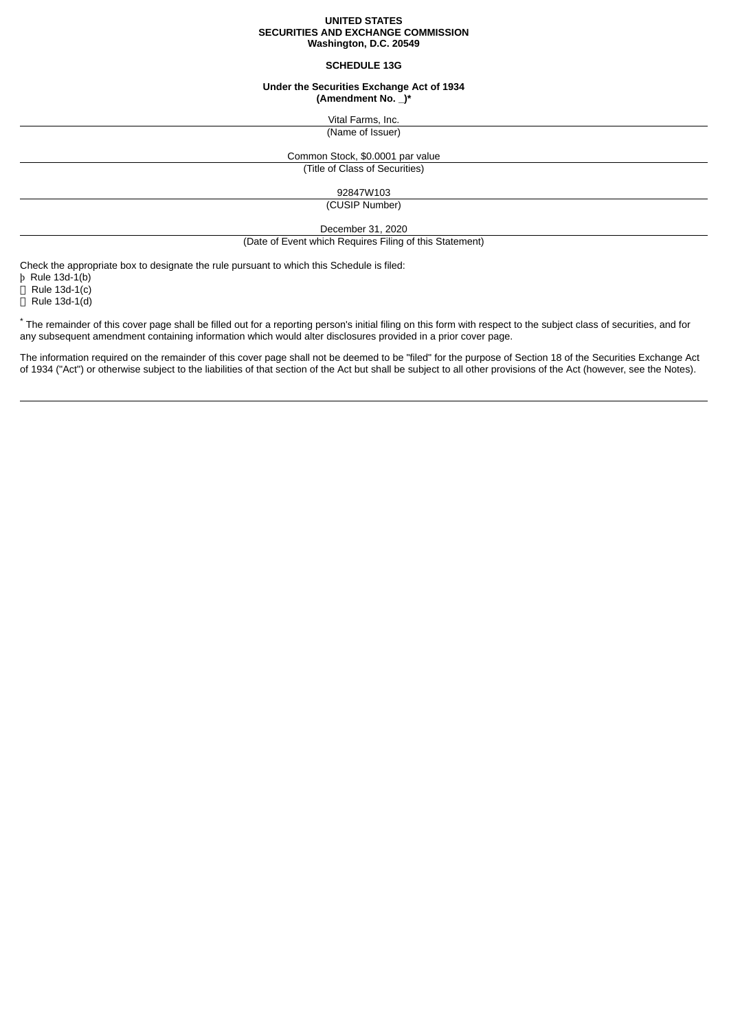### **UNITED STATES SECURITIES AND EXCHANGE COMMISSION Washington, D.C. 20549**

### **SCHEDULE 13G**

### **Under the Securities Exchange Act of 1934 (Amendment No. \_)\***

Vital Farms, Inc.

# (Name of Issuer)

Common Stock, \$0.0001 par value

(Title of Class of Securities)

92847W103

(CUSIP Number)

December 31, 2020

(Date of Event which Requires Filing of this Statement)

Check the appropriate box to designate the rule pursuant to which this Schedule is filed:

þ Rule 13d-1(b)

 $\Box$  Rule 13d-1(c)

 $\overline{\Box}$  Rule 13d-1(d)

\* The remainder of this cover page shall be filled out for a reporting person's initial filing on this form with respect to the subject class of securities, and for any subsequent amendment containing information which would alter disclosures provided in a prior cover page.

The information required on the remainder of this cover page shall not be deemed to be "filed" for the purpose of Section 18 of the Securities Exchange Act of 1934 ("Act") or otherwise subject to the liabilities of that section of the Act but shall be subject to all other provisions of the Act (however, see the Notes).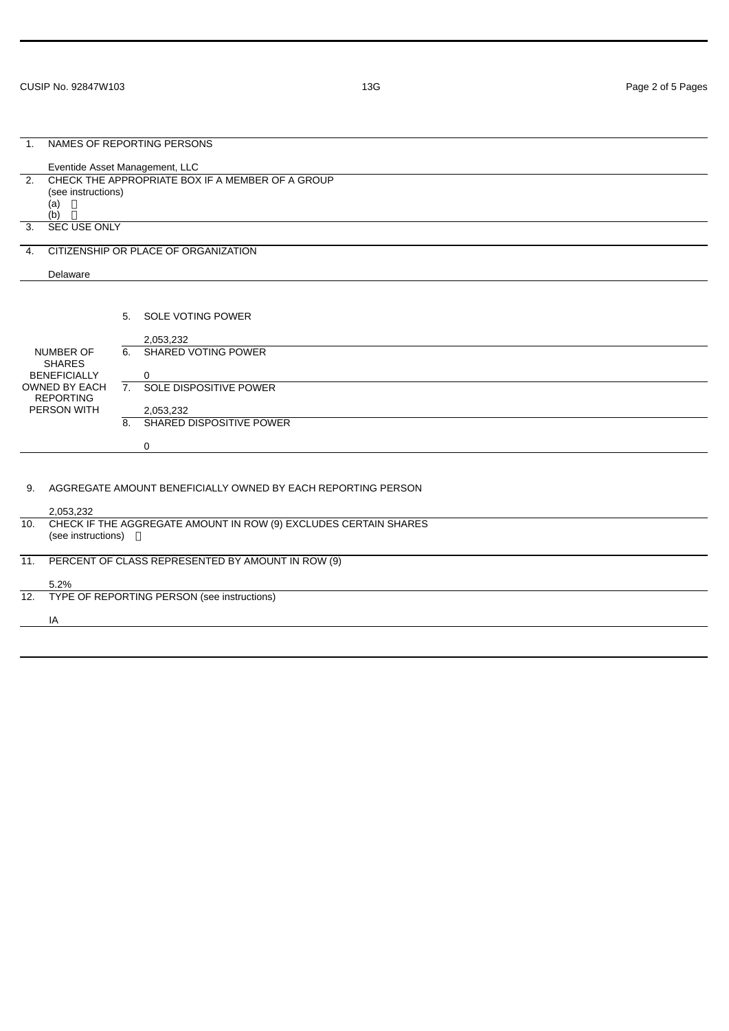| NAMES OF REPORTING PERSONS<br>$\mathbf{1}$ .                                                                        |                                                                        |                  |                               |
|---------------------------------------------------------------------------------------------------------------------|------------------------------------------------------------------------|------------------|-------------------------------|
|                                                                                                                     |                                                                        |                  |                               |
|                                                                                                                     | Eventide Asset Management, LLC                                         |                  |                               |
| $\overline{2}$ .                                                                                                    | CHECK THE APPROPRIATE BOX IF A MEMBER OF A GROUP<br>(see instructions) |                  |                               |
|                                                                                                                     | $(a)$ $\Box$                                                           |                  |                               |
|                                                                                                                     | $(b)$ $\Box$                                                           |                  |                               |
| 3.<br><b>SEC USE ONLY</b>                                                                                           |                                                                        |                  |                               |
| $\mathbf{4}$ .                                                                                                      | CITIZENSHIP OR PLACE OF ORGANIZATION                                   |                  |                               |
|                                                                                                                     | Delaware                                                               |                  |                               |
|                                                                                                                     |                                                                        |                  |                               |
|                                                                                                                     |                                                                        | 5.               | SOLE VOTING POWER             |
|                                                                                                                     |                                                                        |                  |                               |
|                                                                                                                     |                                                                        |                  | 2,053,232                     |
| <b>NUMBER OF</b><br><b>SHARES</b><br><b>BENEFICIALLY</b><br><b>OWNED BY EACH</b><br><b>REPORTING</b><br>PERSON WITH |                                                                        | 6.               | SHARED VOTING POWER           |
|                                                                                                                     |                                                                        |                  | 0                             |
|                                                                                                                     |                                                                        | $\overline{7}$ . | <b>SOLE DISPOSITIVE POWER</b> |
|                                                                                                                     |                                                                        |                  | 2,053,232                     |
|                                                                                                                     |                                                                        | 8.               | SHARED DISPOSITIVE POWER      |
|                                                                                                                     |                                                                        |                  | 0                             |
|                                                                                                                     |                                                                        |                  |                               |
|                                                                                                                     | AGGREGATE AMOUNT BENEFICIALLY OWNED BY EACH REPORTING PERSON           |                  |                               |
| 9.                                                                                                                  |                                                                        |                  |                               |
|                                                                                                                     | 2,053,232                                                              |                  |                               |
| 10.                                                                                                                 | CHECK IF THE AGGREGATE AMOUNT IN ROW (9) EXCLUDES CERTAIN SHARES       |                  |                               |
|                                                                                                                     | (see instructions) □                                                   |                  |                               |
| 11.<br>PERCENT OF CLASS REPRESENTED BY AMOUNT IN ROW (9)                                                            |                                                                        |                  |                               |
|                                                                                                                     | 5.2%                                                                   |                  |                               |
| 12.                                                                                                                 | TYPE OF REPORTING PERSON (see instructions)                            |                  |                               |
|                                                                                                                     | IA                                                                     |                  |                               |
|                                                                                                                     |                                                                        |                  |                               |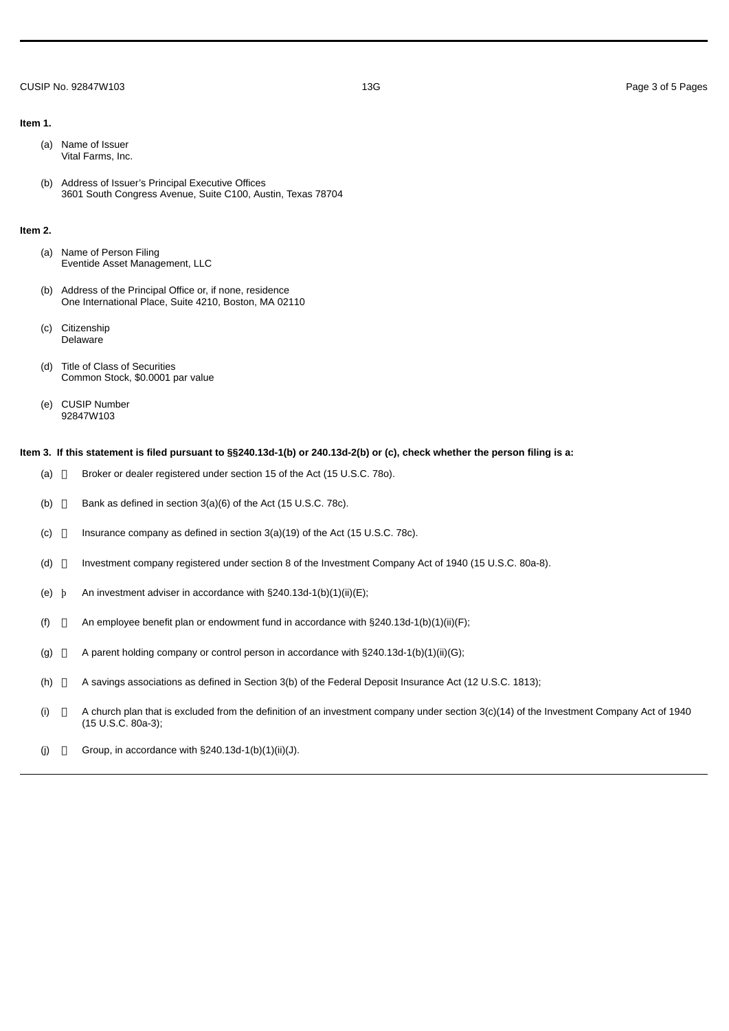## CUSIP No. 92847W103 13G Page 3 of 5 Pages

#### **Item 1.**

- (a) Name of Issuer Vital Farms, Inc.
- (b) Address of Issuer's Principal Executive Offices 3601 South Congress Avenue, Suite C100, Austin, Texas 78704

### **Item 2.**

- (a) Name of Person Filing Eventide Asset Management, LLC
- (b) Address of the Principal Office or, if none, residence One International Place, Suite 4210, Boston, MA 02110
- (c) Citizenship Delaware
- (d) Title of Class of Securities Common Stock, \$0.0001 par value
- (e) CUSIP Number 92847W103

### **Item 3. If this statement is filed pursuant to §§240.13d-1(b) or 240.13d-2(b) or (c), check whether the person filing is a:**

- (a)  $\Box$  Broker or dealer registered under section 15 of the Act (15 U.S.C. 780).
- (b)  $\Box$  Bank as defined in section 3(a)(6) of the Act (15 U.S.C. 78c).
- (c)  $\Box$  Insurance company as defined in section 3(a)(19) of the Act (15 U.S.C. 78c).
- (d)  $\Box$  Investment company registered under section 8 of the Investment Company Act of 1940 (15 U.S.C. 80a-8).
- (e)  $\bar{p}$  An investment adviser in accordance with §240.13d-1(b)(1)(ii)(E);
- (f)  $\Box$  An employee benefit plan or endowment fund in accordance with §240.13d-1(b)(1)(ii)(F);
- (g)  $\Box$  A parent holding company or control person in accordance with §240.13d-1(b)(1)(ii)(G);
- (h)  $\Box$  A savings associations as defined in Section 3(b) of the Federal Deposit Insurance Act (12 U.S.C. 1813);
- (i)  $\Box$  A church plan that is excluded from the definition of an investment company under section  $3(c)(14)$  of the Investment Company Act of 1940 (15 U.S.C. 80a-3);
- (j)  $\Box$  Group, in accordance with §240.13d-1(b)(1)(ii)(J).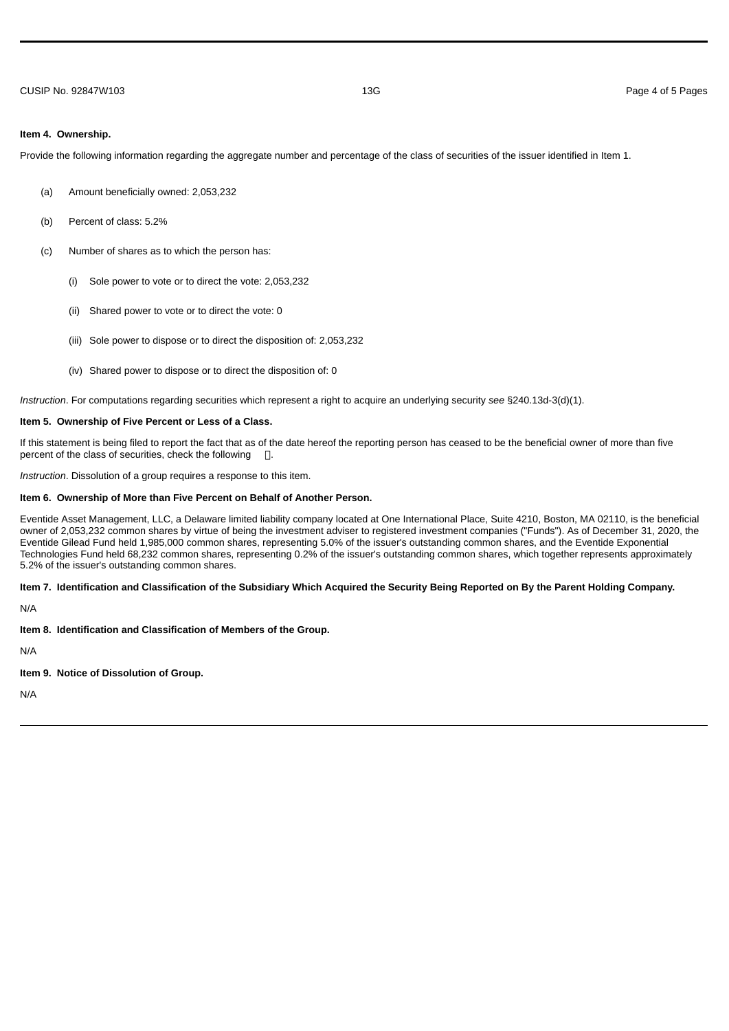### **Item 4. Ownership.**

Provide the following information regarding the aggregate number and percentage of the class of securities of the issuer identified in Item 1.

- (a) Amount beneficially owned: 2,053,232
- (b) Percent of class: 5.2%
- (c) Number of shares as to which the person has:
	- (i) Sole power to vote or to direct the vote: 2,053,232
	- (ii) Shared power to vote or to direct the vote: 0
	- (iii) Sole power to dispose or to direct the disposition of: 2,053,232
	- (iv) Shared power to dispose or to direct the disposition of: 0

*Instruction*. For computations regarding securities which represent a right to acquire an underlying security *see* §240.13d-3(d)(1).

### **Item 5. Ownership of Five Percent or Less of a Class.**

If this statement is being filed to report the fact that as of the date hereof the reporting person has ceased to be the beneficial owner of more than five percent of the class of securities, check the following  $\Box$ .

*Instruction*. Dissolution of a group requires a response to this item.

### **Item 6. Ownership of More than Five Percent on Behalf of Another Person.**

Eventide Asset Management, LLC, a Delaware limited liability company located at One International Place, Suite 4210, Boston, MA 02110, is the beneficial owner of 2,053,232 common shares by virtue of being the investment adviser to registered investment companies ("Funds"). As of December 31, 2020, the Eventide Gilead Fund held 1,985,000 common shares, representing 5.0% of the issuer's outstanding common shares, and the Eventide Exponential Technologies Fund held 68,232 common shares, representing 0.2% of the issuer's outstanding common shares, which together represents approximately 5.2% of the issuer's outstanding common shares.

### **Item 7. Identification and Classification of the Subsidiary Which Acquired the Security Being Reported on By the Parent Holding Company.**

N/A

**Item 8. Identification and Classification of Members of the Group.**

N/A

**Item 9. Notice of Dissolution of Group.**

N/A